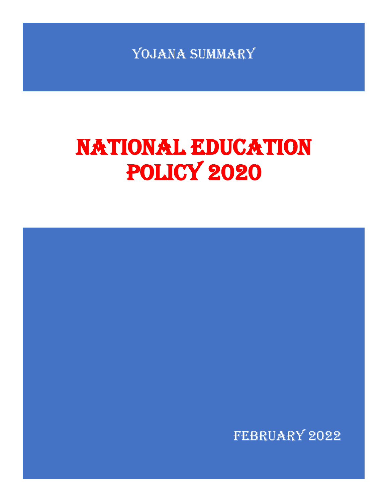YOJANA SUMMARY

# NATIONAL EDUCATION POLICY 2020

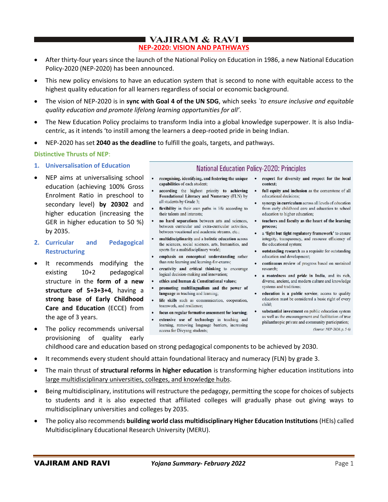# **VAJIRAM & RAVI I NEP-2020: VISION AND PATHWAYS**

- After thirty-four years since the launch of the National Policy on Education in 1986, a new National Education Policy-2020 (NEP-2020) has been announced.
- This new policy envisions to have an education system that is second to none with equitable access to the highest quality education for all learners regardless of social or economic background.
- The vision of NEP-2020 is in **sync with Goal 4 of the UN SDG**, which seeks *`to ensure inclusive and equitable quality education and promote lifelong learning opportunities for all'*.
- The New Education Policy proclaims to transform India into a global knowledge superpower. It is also Indiacentric, as it intends 'to instill among the learners a deep-rooted pride in being Indian.
- NEP-2020 has set **2040 as the deadline** to fulfill the goals, targets, and pathways.

## **Distinctive Thrusts of NEP**:

- **1. Universalisation of Education**
- NEP aims at universalising school education (achieving 100% Gross Enrolment Ratio in preschool to secondary level) **by 20302** and higher education (increasing the GER in higher education to 50 %) by 2035.
- **2. Curricular and Pedagogical Restructuring**
- It recommends modifying the existing 10+2 pedagogical structure in the **form of a new structure of 5+3+3+4**, having a **strong base of Early Childhood Care and Education** (ECCE) from the age of 3 years.
- The policy recommends universal provisioning of quality early

# **National Education Policy-2020: Principles**

- recognising, identifying, and fostering the unique  $\bullet$ capabilities of each student;
- according the highest priority to achieving Foundational Literacy and Numeracy (FLN) by all students by Grade 3;
- flexibility in their own paths in life according to their talents and interests:
- no hard separations between arts and sciences, between curricular and extra-curricular activities, between vocational and academic streams, etc.;
- multidisciplinarity and a holistic education across the sciences, social sciences, arts, humanities, and sports for a multidisciplinary world;
- · emphasis on conceptual understanding rather than rote learning and learning-for-exams;
- creativity and critical thinking to encourage logical decision-making and innovation;
- ethics and human & Constitutional values;
- promoting multilingualism and the power of language in teaching and learning;
- life skills such as communication, cooperation,  $\bullet$ teamwork, and resilience;
- focus on regular formative assessment for learning;
- · extensive use of technology in teaching and learning, removing language barriers, increasing access for Divyang students;
- respect for diversity and respect for the local context:
- full equity and inclusion as the cornerstone of all educational decisions:
- syneroy in curriculum across all levels of education from early childhood care and education to school education to higher education;
- teachers and faculty as the heart of the learning process:
- a 'light but tight regulatory framework' to ensure integrity, transparency, and resource efficiency of the educational system;
- outstanding research as a requisite for outstanding education and development;
- continuous review of progress based on sustained research:
- a rootedness and pride in India, and its rich, diverse, ancient, and modern culture and knowledge systems and traditions:
- education is a public service; access to quality education must be considered a basic right of every child:
- substantial investment on public education system as well as the encouragement and facilitation of true philanthropic private and community participation; (Source: NEP-2020, p. 5-6)

childhood care and education based on strong pedagogical components to be achieved by 2030.

- It recommends every student should attain foundational literacy and numeracy (FLN) by grade 3.
- The main thrust of **structural reforms in higher education** is transforming higher education institutions into large multidisciplinary universities, colleges, and knowledge hubs.
- Being multidisciplinary, institutions will restructure the pedagogy, permitting the scope for choices of subjects to students and it is also expected that affiliated colleges will gradually phase out giving ways to multidisciplinary universities and colleges by 2035.
- The policy also recommends **building world class multidisciplinary Higher Education Institutions** (HEIs) called Multidisciplinary Educational Research University (MERU).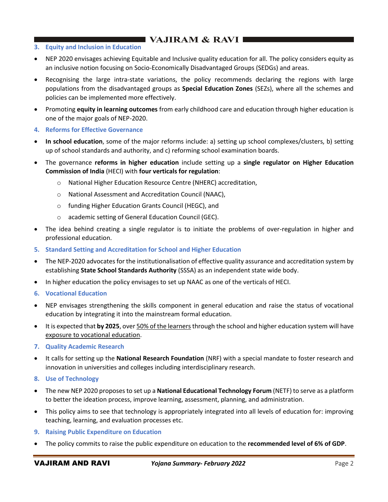# $\blacksquare$  VAJIRAM & RAVI $\blacksquare$

- **3. Equity and Inclusion in Education**
- NEP 2020 envisages achieving Equitable and Inclusive quality education for all. The policy considers equity as an inclusive notion focusing on Socio-Economically Disadvantaged Groups (SEDGs) and areas.
- Recognising the large intra-state variations, the policy recommends declaring the regions with large populations from the disadvantaged groups as **Special Education Zones** (SEZs), where all the schemes and policies can be implemented more effectively.
- Promoting **equity in learning outcomes** from early childhood care and education through higher education is one of the major goals of NEP-2020.
- **4. Reforms for Effective Governance**
- **In school education**, some of the major reforms include: a) setting up school complexes/clusters, b) setting up of school standards and authority, and c) reforming school examination boards.
- The governance **reforms in higher education** include setting up a **single regulator on Higher Education Commission of India** (HECI) with **four verticals for regulation**:
	- o National Higher Education Resource Centre (NHERC) accreditation,
	- o National Assessment and Accreditation Council (NAAC),
	- o funding Higher Education Grants Council (HEGC), and
	- o academic setting of General Education Council (GEC).
- The idea behind creating a single regulator is to initiate the problems of over-regulation in higher and professional education.
- **5. Standard Setting and Accreditation for School and Higher Education**
- The NEP-2020 advocates for the institutionalisation of effective quality assurance and accreditation system by establishing **State School Standards Authority** (SSSA) as an independent state wide body.
- In higher education the policy envisages to set up NAAC as one of the verticals of HECI.
- **6. Vocational Education**
- NEP envisages strengthening the skills component in general education and raise the status of vocational education by integrating it into the mainstream formal education.
- It is expected that by 2025, over 50% of the learners through the school and higher education system will have exposure to vocational education.
- **7. Quality Academic Research**
- It calls for setting up the **National Research Foundation** (NRF) with a special mandate to foster research and innovation in universities and colleges including interdisciplinary research.
- **8. Use of Technology**
- The new NEP 2020 proposes to set up a **National Educational Technology Forum** (NETF) to serve as a platform to better the ideation process, improve learning, assessment, planning, and administration.
- This policy aims to see that technology is appropriately integrated into all levels of education for: improving teaching, learning, and evaluation processes etc.
- **9. Raising Public Expenditure on Education**
- The policy commits to raise the public expenditure on education to the **recommended level of 6% of GDP**.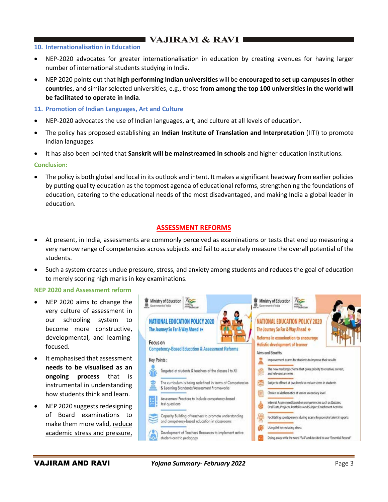# ∎VAJIRAM & RAVI I

## **10. Internationalisation in Education**

- NEP-2020 advocates for greater internationalisation in education by creating avenues for having larger number of international students studying in India.
- NEP 2020 points out that **high performing Indian universities** will be **encouraged to set up campuses in other countrie**s, and similar selected universities, e.g., those **from among the top 100 universities in the world will be facilitated to operate in India**.
- **11. Promotion of Indian Languages, Art and Culture**
- NEP-2020 advocates the use of Indian languages, art, and culture at all levels of education.
- The policy has proposed establishing an **Indian Institute of Translation and Interpretation** (IITI) to promote Indian languages.
- It has also been pointed that **Sanskrit will be mainstreamed in schools** and higher education institutions.

#### **Conclusion:**

• The policy is both global and local in its outlook and intent. It makes a significant headway from earlier policies by putting quality education as the topmost agenda of educational reforms, strengthening the foundations of education, catering to the educational needs of the most disadvantaged, and making India a global leader in education.

## **ASSESSMENT REFORMS**

- At present, in India, assessments are commonly perceived as examinations or tests that end up measuring a very narrow range of competencies across subjects and fail to accurately measure the overall potential of the students.
- Such a system creates undue pressure, stress, and anxiety among students and reduces the goal of education to merely scoring high marks in key examinations.

#### **NEP 2020 and Assessment reform**

- NEP 2020 aims to change the very culture of assessment in our schooling system to become more constructive, developmental, and learningfocused.
- It emphasised that assessment **needs to be visualised as an ongoing process** that is instrumental in understanding how students think and learn.
- NEP 2020 suggests redesigning of Board examinations to make them more valid, reduce academic stress and pressure,

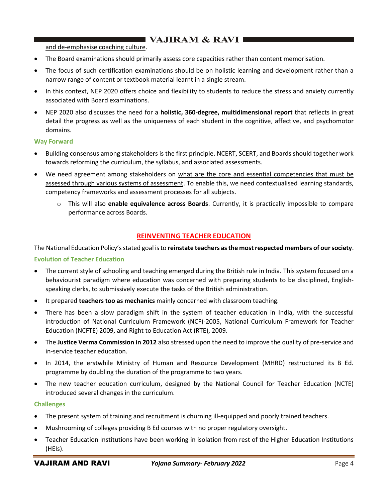# $\blacksquare$  VAJIRAM & RAVI $\blacksquare$

#### and de-emphasise coaching culture.

- The Board examinations should primarily assess core capacities rather than content memorisation.
- The focus of such certification examinations should be on holistic learning and development rather than a narrow range of content or textbook material learnt in a single stream.
- In this context, NEP 2020 offers choice and flexibility to students to reduce the stress and anxiety currently associated with Board examinations.
- NEP 2020 also discusses the need for a **holistic, 360-degree, multidimensional report** that reflects in great detail the progress as well as the uniqueness of each student in the cognitive, affective, and psychomotor domains.

#### **Way Forward**

- Building consensus among stakeholders is the first principle. NCERT, SCERT, and Boards should together work towards reforming the curriculum, the syllabus, and associated assessments.
- We need agreement among stakeholders on what are the core and essential competencies that must be assessed through various systems of assessment. To enable this, we need contextualised learning standards, competency frameworks and assessment processes for all subjects.
	- o This will also **enable equivalence across Boards**. Currently, it is practically impossible to compare performance across Boards.

# **REINVENTING TEACHER EDUCATION**

The National Education Policy's stated goal is to **reinstate teachers as the most respected members of our society**.

#### **Evolution of Teacher Education**

- The current style of schooling and teaching emerged during the British rule in India. This system focused on a behaviourist paradigm where education was concerned with preparing students to be disciplined, Englishspeaking clerks, to submissively execute the tasks of the British administration.
- It prepared **teachers too as mechanics** mainly concerned with classroom teaching.
- There has been a slow paradigm shift in the system of teacher education in India, with the successful introduction of National Curriculum Framework (NCF)-2005, National Curriculum Framework for Teacher Education (NCFTE) 2009, and Right to Education Act (RTE), 2009.
- The **Justice Verma Commission in 2012** also stressed upon the need to improve the quality of pre-service and in-service teacher education.
- In 2014, the erstwhile Ministry of Human and Resource Development (MHRD) restructured its B Ed. programme by doubling the duration of the programme to two years.
- The new teacher education curriculum, designed by the National Council for Teacher Education (NCTE) introduced several changes in the curriculum.

#### **Challenges**

- The present system of training and recruitment is churning ill-equipped and poorly trained teachers.
- Mushrooming of colleges providing B Ed courses with no proper regulatory oversight.
- Teacher Education Institutions have been working in isolation from rest of the Higher Education Institutions (HEIs).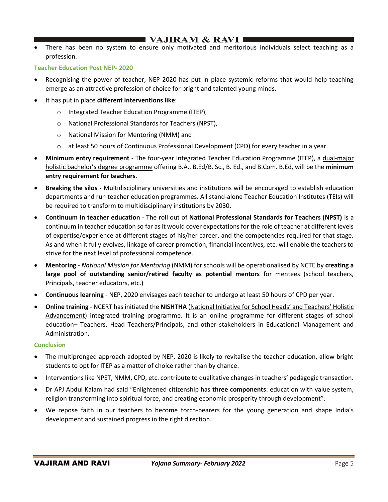# I VAJIRAM & RAVI I

• There has been no system to ensure only motivated and meritorious individuals select teaching as a profession.

#### **Teacher Education Post NEP- 2020**

- Recognising the power of teacher, NEP 2020 has put in place systemic reforms that would help teaching emerge as an attractive profession of choice for bright and talented young minds.
- It has put in place **different interventions like**:
	- o Integrated Teacher Education Programme (ITEP),
	- o National Professional Standards for Teachers (NPST),
	- o National Mission for Mentoring (NMM) and
	- o at least 50 hours of Continuous Professional Development (CPD) for every teacher in a year.
- **Minimum entry requirement** The four-year Integrated Teacher Education Programme (ITEP), a dual-major holistic bachelor's degree programme offering B.A., B.Ed/B. Sc., B. Ed., and B.Com. B.Ed, will be the **minimum entry requirement for teachers**.
- **Breaking the silos -** Multidisciplinary universities and institutions will be encouraged to establish education departments and run teacher education programmes. All stand-alone Teacher Education Institutes (TEIs) will be required to transform to multidisciplinary institutions by 2030.
- **Continuum in teacher education** The roll out of **National Professional Standards for Teachers (NPST)** is a continuum in teacher education so far as it would cover expectations for the role of teacher at different levels of expertise/experience at different stages of his/her career, and the competencies required for that stage. As and when it fully evolves, linkage of career promotion, financial incentives, etc. will enable the teachers to strive for the next level of professional competence.
- **Mentoring** *National Mission for Mentoring* (NMM) for schools will be operationalised by NCTE by **creating a large pool of outstanding senior/retired faculty as potential mentors** for mentees (school teachers, Principals, teacher educators, etc.)
- **Continuous learning** NEP, 2020 envisages each teacher to undergo at least 50 hours of CPD per year.
- **Online training** NCERT has initiated the **NISHTHA** (National Initiative for School Heads' and Teachers' Holistic Advancement) integrated training programme. It is an online programme for different stages of school education– Teachers, Head Teachers/Principals, and other stakeholders in Educational Management and Administration.

#### **Conclusion**

- The multipronged approach adopted by NEP, 2020 is likely to revitalise the teacher education, allow bright students to opt for ITEP as a matter of choice rather than by chance.
- Interventions like NPST, NMM, CPD, etc. contribute to qualitative changes in teachers' pedagogic transaction.
- Dr APJ Abdul Kalam had said "Enlightened citizenship has **three components**: education with value system, religion transforming into spiritual force, and creating economic prosperity through development".
- We repose faith in our teachers to become torch-bearers for the young generation and shape India's development and sustained progress in the right direction.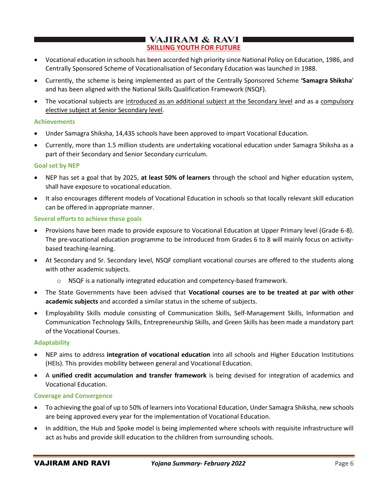# **VAJIRAM & RAVI SKILLING YOUTH FOR FUTURE**

- Vocational education in schools has been accorded high priority since National Policy on Education, 1986, and Centrally Sponsored Scheme of Vocationalisation of Secondary Education was launched in 1988.
- Currently, the scheme is being implemented as part of the Centrally Sponsored Scheme **'Samagra Shiksha**' and has been aligned with the National Skills Qualification Framework (NSQF).
- The vocational subjects are introduced as an additional subject at the Secondary level and as a compulsory elective subject at Senior Secondary level.

## **Achievements**

- Under Samagra Shiksha, 14,435 schools have been approved to impart Vocational Education.
- Currently, more than 1.5 million students are undertaking vocational education under Samagra Shiksha as a part of their Secondary and Senior Secondary curriculum.

#### **Goal set by NEP**

- NEP has set a goal that by 2025, **at least 50% of learners** through the school and higher education system, shall have exposure to vocational education.
- It also encourages different models of Vocational Education in schools so that locally relevant skill education can be offered in appropriate manner.

#### **Several efforts to achieve these goals**

- Provisions have been made to provide exposure to Vocational Education at Upper Primary level (Grade 6-8). The pre-vocational education programme to be introduced from Grades 6 to 8 will mainly focus on activitybased teaching-learning.
- At Secondary and Sr. Secondary level, NSQF compliant vocational courses are offered to the students along with other academic subjects.
	- o NSQF is a nationally integrated education and competency-based framework.
- The State Governments have been advised that **Vocational courses are to be treated at par with other academic subjects** and accorded a similar status in the scheme of subjects.
- Employability Skills module consisting of Communication Skills, Self-Management Skills, Information and Communication Technology Skills, Entrepreneurship Skills, and Green Skills has been made a mandatory part of the Vocational Courses.

#### **Adaptability**

- NEP aims to address **integration of vocational education** into all schools and Higher Education Institutions (HEIs). This provides mobility between general and Vocational Education.
- A **unified credit accumulation and transfer framework** is being devised for integration of academics and Vocational Education.

#### **Coverage and Convergence**

- To achieving the goal of up to 50% of learners into Vocational Education, Under Samagra Shiksha, new schools are being approved every year for the implementation of Vocational Education.
- In addition, the Hub and Spoke model is being implemented where schools with requisite infrastructure will act as hubs and provide skill education to the children from surrounding schools.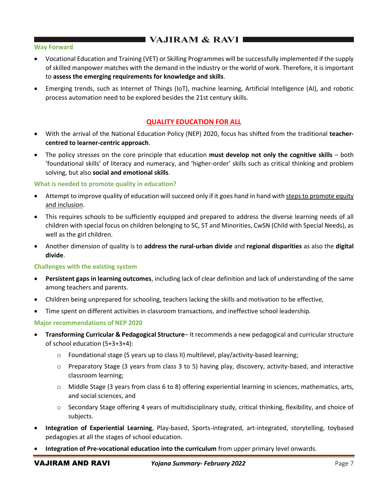# $\blacksquare$  VAJIRAM & RAVI $\blacksquare$

#### **Way Forward**

- Vocational Education and Training (VET) or Skilling Programmes will be successfully implemented if the supply of skilled manpower matches with the demand in the industry or the world of work. Therefore, it is important to **assess the emerging requirements for knowledge and skills**.
- Emerging trends, such as Internet of Things (IoT), machine learning, Artificial Intelligence (AI), and robotic process automation need to be explored besides the 21st century skills.

## **QUALITY EDUCATION FOR ALL**

- With the arrival of the National Education Policy (NEP) 2020, focus has shifted from the traditional **teachercentred to learner-centric approach**.
- The policy stresses on the core principle that education **must develop not only the cognitive skills** both 'foundational skills' of literacy and numeracy, and 'higher-order' skills such as critical thinking and problem solving, but also **social and emotional skills**.

#### **What is needed to promote quality in education?**

- Attempt to improve quality of education will succeed only if it goes hand in hand with steps to promote equity and inclusion.
- This requires schools to be sufficiently equipped and prepared to address the diverse learning needs of all children with special focus on children belonging to SC, ST and Minorities, CwSN (Child with Special Needs), as well as the girl children.
- Another dimension of quality is to **address the rural-urban divide** and **regional disparities** as also the **digital divide**.

#### **Challenges with the existing system**

- **Persistent gaps in learning outcomes**, including lack of clear definition and lack of understanding of the same among teachers and parents.
- Children being unprepared for schooling, teachers lacking the skills and motivation to be effective,
- Time spent on different activities in classroom transactions, and ineffective school leadership.

#### **Major recommendations of NEP 2020**

- **Transforming Curricular & Pedagogical Structure** It recommends a new pedagogical and curricular structure of school education (5+3+3+4):
	- $\circ$  Foundational stage (5 years up to class II) multilevel, play/activity-based learning;
	- $\circ$  Preparatory Stage (3 years from class 3 to 5) having play, discovery, activity-based, and interactive classroom learning;
	- $\circ$  Middle Stage (3 years from class 6 to 8) offering experiential learning in sciences, mathematics, arts, and social sciences, and
	- $\circ$  Secondary Stage offering 4 years of multidisciplinary study, critical thinking, flexibility, and choice of subjects.
- **Integration of Experiential Learning**, Play-based, Sports-integrated, art-integrated, storytelling, toybased pedagogies at all the stages of school education.
- **Integration of Pre-vocational education into the curriculum** from upper primary level onwards.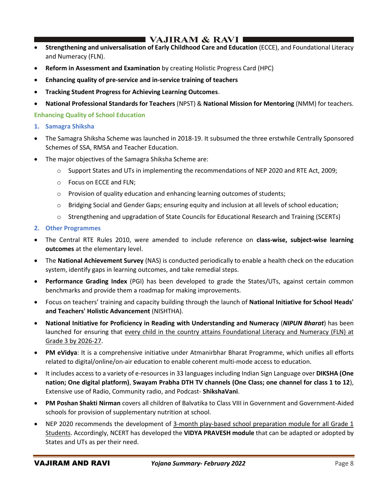# I VAJIRAM & RAVI I

- **Strengthening and universalisation of Early Childhood Care and Education** (ECCE), and Foundational Literacy and Numeracy (FLN).
- **Reform in Assessment and Examination** by creating Holistic Progress Card (HPC)
- **Enhancing quality of pre-service and in-service training of teachers**
- **Tracking Student Progress for Achieving Learning Outcomes**.
- **National Professional Standards for Teachers** (NPST) & **National Mission for Mentoring** (NMM) for teachers.

**Enhancing Quality of School Education**

- **1. Samagra Shiksha**
- The Samagra Shiksha Scheme was launched in 2018-19. It subsumed the three erstwhile Centrally Sponsored Schemes of SSA, RMSA and Teacher Education.
- The major objectives of the Samagra Shiksha Scheme are:
	- $\circ$  Support States and UTs in implementing the recommendations of NEP 2020 and RTE Act, 2009;
	- o Focus on ECCE and FLN;
	- $\circ$  Provision of quality education and enhancing learning outcomes of students;
	- o Bridging Social and Gender Gaps; ensuring equity and inclusion at all levels of school education;
	- o Strengthening and upgradation of State Councils for Educational Research and Training (SCERTs)
- **2. Other Programmes**
- The Central RTE Rules 2010, were amended to include reference on **class-wise, subject-wise learning outcomes** at the elementary level.
- The **National Achievement Survey** (NAS) is conducted periodically to enable a health check on the education system, identify gaps in learning outcomes, and take remedial steps.
- **Performance Grading Index** (PGI) has been developed to grade the States/UTs, against certain common benchmarks and provide them a roadmap for making improvements.
- Focus on teachers' training and capacity building through the launch of **National Initiative for School Heads' and Teachers' Holistic Advancement** (NISHTHA).
- **National Initiative for Proficiency in Reading with Understanding and Numeracy** (*NIPUN Bharat*) has been launched for ensuring that every child in the country attains Foundational Literacy and Numeracy (FLN) at Grade 3 by 2026-27.
- **PM eVidya**: It is a comprehensive initiative under Atmanirbhar Bharat Programme, which unifies all efforts related to digital/online/on-air education to enable coherent multi-mode access to education.
- It includes access to a variety of e-resources in 33 languages including Indian Sign Language over **DIKSHA (One nation; One digital platform)**, **Swayam Prabha DTH TV channels (One Class; one channel for class 1 to 12**), Extensive use of Radio, Community radio, and Podcast- **ShikshaVani**.
- **PM Poshan Shakti Nirman** covers all children of Balvatika to Class VIII in Government and Government-Aided schools for provision of supplementary nutrition at school.
- NEP 2020 recommends the development of 3-month play-based school preparation module for all Grade 1 Students. Accordingly, NCERT has developed the **VIDYA PRAVESH module** that can be adapted or adopted by States and UTs as per their need.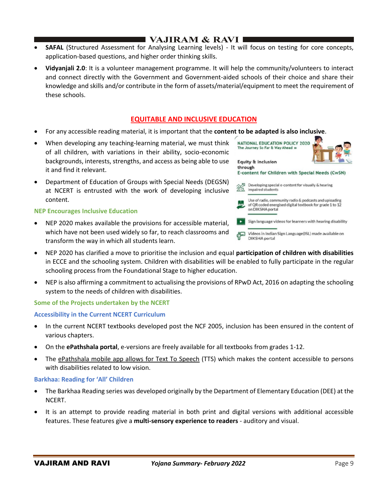# **I VAJIRAM & RAVI I**

- **SAFAL** (Structured Assessment for Analysing Learning levels) It will focus on testing for core concepts, application-based questions, and higher order thinking skills.
- **Vidyanjali 2.0**: It is a volunteer management programme. It will help the community/volunteers to interact and connect directly with the Government and Government-aided schools of their choice and share their knowledge and skills and/or contribute in the form of assets/material/equipment to meet the requirement of these schools.

# **EQUITABLE AND INCLUSIVE EDUCATION**

- For any accessible reading material, it is important that the **content to be adapted is also inclusive**.
- When developing any teaching-learning material, we must think of all children, with variations in their ability, socio-economic backgrounds, interests, strengths, and access as being able to use it and find it relevant.
- Department of Education of Groups with Special Needs (DEGSN) at NCERT is entrusted with the work of developing inclusive content.

#### **NEP Encourages Inclusive Education**

- NEP 2020 makes available the provisions for accessible material, which have not been used widely so far, to reach classrooms and transform the way in which all students learn.
- NEP 2020 has clarified a move to prioritise the inclusion and equal **participation of children with disabilities** in ECCE and the schooling system. Children with disabilities will be enabled to fully participate in the regular schooling process from the Foundational Stage to higher education.
- NEP is also affirming a commitment to actualising the provisions of RPwD Act, 2016 on adapting the schooling system to the needs of children with disabilities.

#### **Some of the Projects undertaken by the NCERT**

#### **Accessibility in the Current NCERT Curriculum**

- In the current NCERT textbooks developed post the NCF 2005, inclusion has been ensured in the content of various chapters.
- On the **ePathshala portal**, e-versions are freely available for all textbooks from grades 1-12.
- The ePathshala mobile app allows for Text To Speech (TTS) which makes the content accessible to persons with disabilities related to low vision.

#### **Barkhaa: Reading for 'All' Children**

- The Barkhaa Reading series was developed originally by the Department of Elementary Education (DEE) at the NCERT.
- It is an attempt to provide reading material in both print and digital versions with additional accessible features. These features give a **multi-sensory experience to readers** - auditory and visual.



**DIKSHA** portal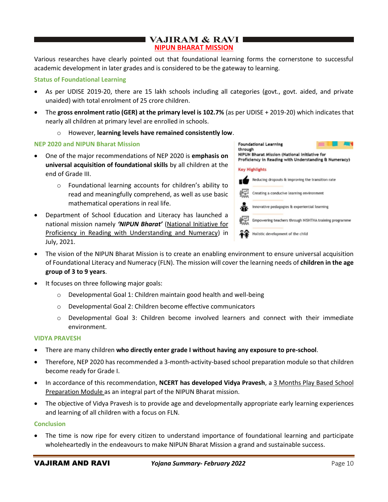# **VAJIRAM & RAVI NIPUN BHARAT MISSION**

Various researches have clearly pointed out that foundational learning forms the cornerstone to successful academic development in later grades and is considered to be the gateway to learning.

#### **Status of Foundational Learning**

- As per UDISE 2019-20, there are 15 lakh schools including all categories (govt., govt. aided, and private unaided) with total enrolment of 25 crore children.
- The **gross enrolment ratio (GER) at the primary level is 102.7%** (as per UDISE + 2019-20) which indicates that nearly all children at primary level are enrolled in schools.
	- o However, **learning levels have remained consistently low**.

#### **NEP 2020 and NIPUN Bharat Mission**

- One of the major recommendations of NEP 2020 is **emphasis on universal acquisition of foundational skills** by all children at the end of Grade III.
	- o Foundational learning accounts for children's ability to read and meaningfully comprehend, as well as use basic mathematical operations in real life.
- Department of School Education and Literacy has launched a national mission namely *'NIPUN Bharat'* (National Initiative for Proficiency in Reading with Understanding and Numeracy) in July, 2021.



- The vision of the NIPUN Bharat Mission is to create an enabling environment to ensure universal acquisition of Foundational Literacy and Numeracy (FLN). The mission will cover the learning needs of **children in the age group of 3 to 9 years**.
- It focuses on three following major goals:
	- o Developmental Goal 1: Children maintain good health and well-being
	- o Developmental Goal 2: Children become effective communicators
	- $\circ$  Developmental Goal 3: Children become involved learners and connect with their immediate environment.

#### **VIDYA PRAVESH**

- There are many children **who directly enter grade I without having any exposure to pre-school**.
- Therefore, NEP 2020 has recommended a 3-month-activity-based school preparation module so that children become ready for Grade I.
- In accordance of this recommendation, **NCERT has developed Vidya Pravesh**, a 3 Months Play Based School Preparation Module as an integral part of the NIPUN Bharat mission.
- The objective of Vidya Pravesh is to provide age and developmentally appropriate early learning experiences and learning of all children with a focus on FLN.

#### **Conclusion**

The time is now ripe for every citizen to understand importance of foundational learning and participate wholeheartedly in the endeavours to make NIPUN Bharat Mission a grand and sustainable success.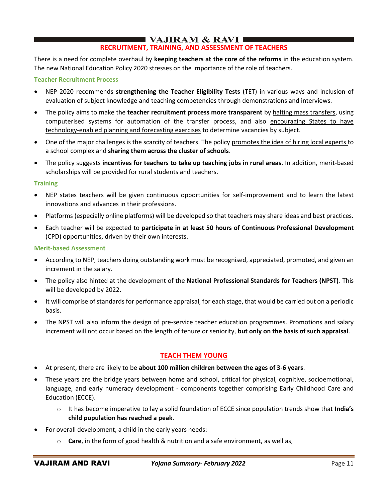## $\blacksquare$  VAJIRAM & RAVI $\blacksquare$ **RECRUITMENT, TRAINING, AND ASSESSMENT OF TEACHERS**

There is a need for complete overhaul by **keeping teachers at the core of the reforms** in the education system. The new National Education Policy 2020 stresses on the importance of the role of teachers.

## **Teacher Recruitment Process**

- NEP 2020 recommends **strengthening the Teacher Eligibility Tests** (TET) in various ways and inclusion of evaluation of subject knowledge and teaching competencies through demonstrations and interviews.
- The policy aims to make the **teacher recruitment process more transparent** by halting mass transfers, using computerised systems for automation of the transfer process, and also encouraging States to have technology-enabled planning and forecasting exercises to determine vacancies by subject.
- One of the major challenges is the scarcity of teachers. The policy promotes the idea of hiring local experts to a school complex and **sharing them across the cluster of schools**.
- The policy suggests **incentives for teachers to take up teaching jobs in rural areas**. In addition, merit-based scholarships will be provided for rural students and teachers.

## **Training**

- NEP states teachers will be given continuous opportunities for self-improvement and to learn the latest innovations and advances in their professions.
- Platforms (especially online platforms) will be developed so that teachers may share ideas and best practices.
- Each teacher will be expected to **participate in at least 50 hours of Continuous Professional Development**  (CPD) opportunities, driven by their own interests.

## **Merit-based Assessment**

- According to NEP, teachers doing outstanding work must be recognised, appreciated, promoted, and given an increment in the salary.
- The policy also hinted at the development of the **National Professional Standards for Teachers (NPST)**. This will be developed by 2022.
- It will comprise of standards for performance appraisal, for each stage, that would be carried out on a periodic basis.
- The NPST will also inform the design of pre-service teacher education programmes. Promotions and salary increment will not occur based on the length of tenure or seniority, **but only on the basis of such appraisal**.

# **TEACH THEM YOUNG**

- At present, there are likely to be **about 100 million children between the ages of 3-6 years**.
- These years are the bridge years between home and school, critical for physical, cognitive, socioemotional, language, and early numeracy development - components together comprising Early Childhood Care and Education (ECCE).
	- o It has become imperative to lay a solid foundation of ECCE since population trends show that **India's child population has reached a peak**.
- For overall development, a child in the early years needs:
	- o **Care**, in the form of good health & nutrition and a safe environment, as well as,